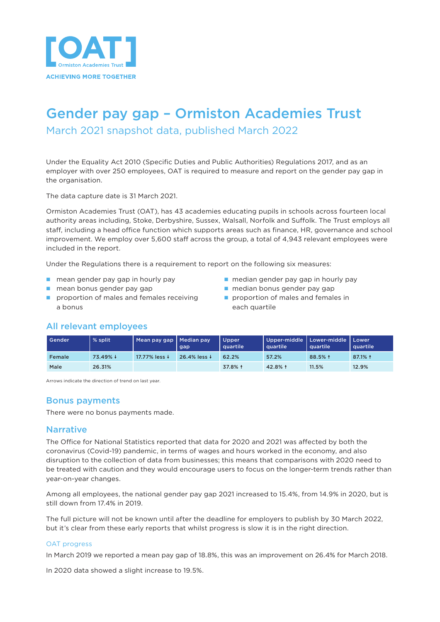

# Gender pay gap – Ormiston Academies Trust

March 2021 snapshot data, published March 2022

Under the Equality Act 2010 (Specific Duties and Public Authorities) Regulations 2017, and as an employer with over 250 employees, OAT is required to measure and report on the gender pay gap in the organisation.

The data capture date is 31 March 2021.

Ormiston Academies Trust (OAT), has 43 academies educating pupils in schools across fourteen local authority areas including, Stoke, Derbyshire, Sussex, Walsall, Norfolk and Suffolk. The Trust employs all staff, including a head office function which supports areas such as finance, HR, governance and school improvement. We employ over 5,600 staff across the group, a total of 4,943 relevant employees were included in the report.

Under the Regulations there is a requirement to report on the following six measures:

- 
- 
- **n** proportion of males and females receiving **n** proportion of males and females in a bonus each quartile
- n mean gender pay gap in hourly pay n median gender pay gap in hourly pay
- n mean bonus gender pay gap n median bonus gender pay gap
	-

## All relevant employees

| Gender | % split  | Mean pay gap   Median pay | gap          | Upper<br><b>quartile</b> | Upper-middle   Lower-middle  <br><b>quartile</b> | quartile | Lower<br>quartile |
|--------|----------|---------------------------|--------------|--------------------------|--------------------------------------------------|----------|-------------------|
| Female | 73.49% + | 17.77% less ↓             | 26.4% less ↓ | 62.2%                    | 57.2%                                            | 88.5% 1  | 87.1% 1           |
| Male   | 26.31%   |                           |              | 37.8% 1                  | 42.8% 1                                          | 11.5%    | 12.9%             |

Arrows indicate the direction of trend on last year.

### Bonus payments

There were no bonus payments made.

#### **Narrative**

The Office for National Statistics reported that data for 2020 and 2021 was affected by both the coronavirus (Covid-19) pandemic, in terms of wages and hours worked in the economy, and also disruption to the collection of data from businesses; this means that comparisons with 2020 need to be treated with caution and they would encourage users to focus on the longer-term trends rather than year-on-year changes.

Among all employees, the national gender pay gap 2021 increased to 15.4%, from 14.9% in 2020, but is still down from 17.4% in 2019.

The full picture will not be known until after the deadline for employers to publish by 30 March 2022, but it's clear from these early reports that whilst progress is slow it is in the right direction.

#### OAT progress

In March 2019 we reported a mean pay gap of 18.8%, this was an improvement on 26.4% for March 2018.

In 2020 data showed a slight increase to 19.5%.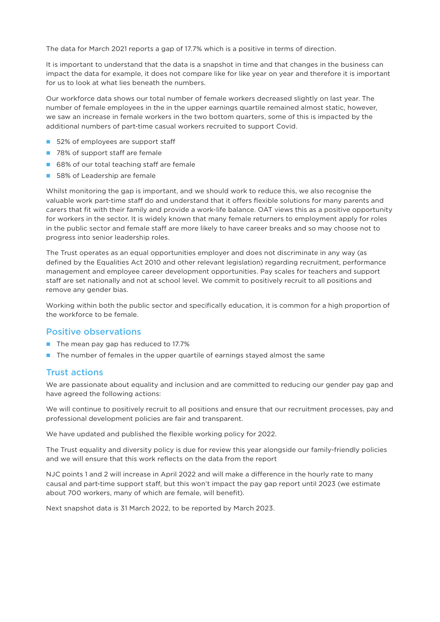The data for March 2021 reports a gap of 17.7% which is a positive in terms of direction.

It is important to understand that the data is a snapshot in time and that changes in the business can impact the data for example, it does not compare like for like year on year and therefore it is important for us to look at what lies beneath the numbers.

Our workforce data shows our total number of female workers decreased slightly on last year. The number of female employees in the in the upper earnings quartile remained almost static, however, we saw an increase in female workers in the two bottom quarters, some of this is impacted by the additional numbers of part-time casual workers recruited to support Covid.

- 52% of employees are support staff
- 78% of support staff are female
- 68% of our total teaching staff are female
- 58% of Leadership are female

Whilst monitoring the gap is important, and we should work to reduce this, we also recognise the valuable work part-time staff do and understand that it offers flexible solutions for many parents and carers that fit with their family and provide a work-life balance. OAT views this as a positive opportunity for workers in the sector. It is widely known that many female returners to employment apply for roles in the public sector and female staff are more likely to have career breaks and so may choose not to progress into senior leadership roles.

The Trust operates as an equal opportunities employer and does not discriminate in any way (as defined by the Equalities Act 2010 and other relevant legislation) regarding recruitment, performance management and employee career development opportunities. Pay scales for teachers and support staff are set nationally and not at school level. We commit to positively recruit to all positions and remove any gender bias.

Working within both the public sector and specifically education, it is common for a high proportion of the workforce to be female.

#### Positive observations

- The mean pay gap has reduced to 17.7%
- n The number of females in the upper quartile of earnings stayed almost the same

#### Trust actions

We are passionate about equality and inclusion and are committed to reducing our gender pay gap and have agreed the following actions:

We will continue to positively recruit to all positions and ensure that our recruitment processes, pay and professional development policies are fair and transparent.

We have updated and published the flexible working policy for 2022.

The Trust equality and diversity policy is due for review this year alongside our family-friendly policies and we will ensure that this work reflects on the data from the report

NJC points 1 and 2 will increase in April 2022 and will make a difference in the hourly rate to many causal and part-time support staff, but this won't impact the pay gap report until 2023 (we estimate about 700 workers, many of which are female, will benefit).

Next snapshot data is 31 March 2022, to be reported by March 2023.